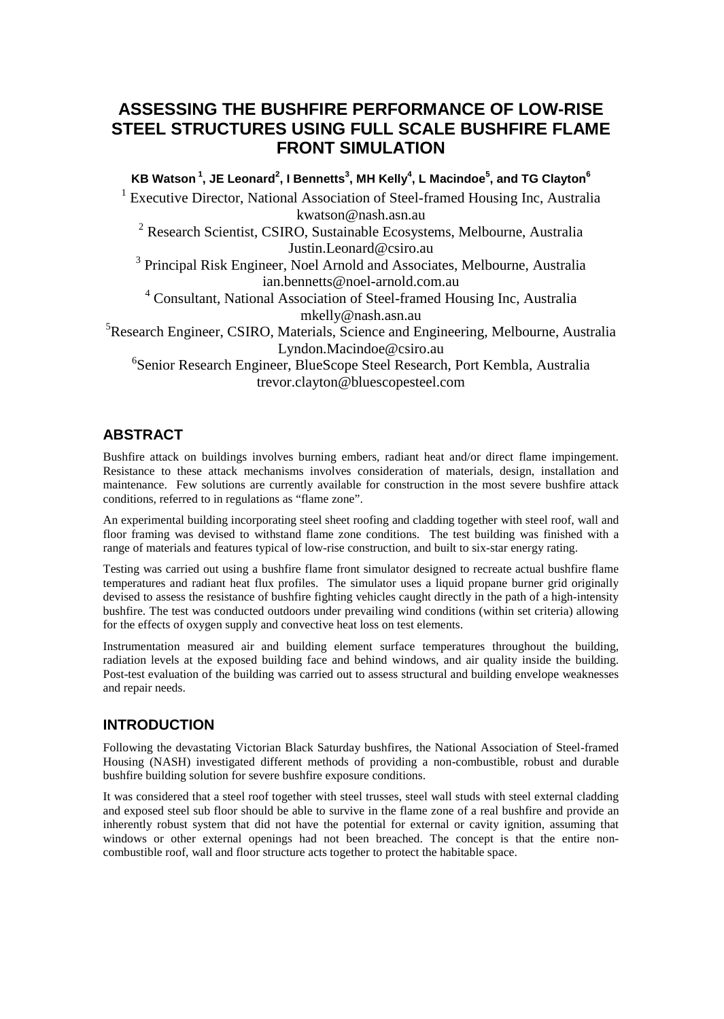# ASSESSING THE BUSHFIRE PERFORMANCE OF LOW-RISE STEEL STRUCTURES USING FULL SCALE BUSHELRE FLAME FRONT SIMULATION

KB Watson $^{-1}$ , JE Leonard <sup>2</sup>, I Bennetts <sup>3</sup>, MH Kelly <sup>4</sup>, L Macindoe <sup>5</sup>, and TG Clayton <sup>6</sup> <sup>1</sup> Executive Director, National Association of Steralmed Housig Inc, Australia

#### [kwatson@nash.asn.](mailto:kwatson@nash.asn.au)au

<sup>2</sup> Research Scientist, CSIRO, Sustainable Ecosystems, Melbourne, Australia Justin[.Leonard@csiro.a](mailto:Leonard@csiro.au)u

<sup>3</sup> Principal Risk Engineer, Noel Arnold and Associates, Melbourne, Australia ian.bennetts@noetrnold.com.au

<sup>4</sup> Consultant National Association of Stettlamed Housing Inc, Australia [mkelly@nash.asn.a](mailto:mkelly@nash.asn.au)u

<sup>5</sup>ResearchEngineerCSIRO, Materials, Science and Engineering, Melbourne, Australia Lyndon[.Macindoe@csiro.a](mailto:Macindoe@csiro.au)u

<sup>6</sup>Senior Research Engineer, BlueScope Steel Research, Port K**anstral**ia trevor[.clayton@bluescopesteel.c](mailto:clayton@bluescopesteel.com)om

#### ABSTRACT

Bushfire attack on buildings involves burning embers, radiant heat and/or direct flame impingement. Resistance to these attack mechanisms involves consideration of materials, design, installation and maintenance. Few solutions are currently available for construction in the most severe bushfire attack conditions, referred to in regulations as €flame zone•.

An experimental building incorporating steel sheet roofind claddingogether with steel roofwall and floor framing was devised to withstand flame zone conditions. The test building was finished with a range of materials and features typical of low construction, and built to sixtar energy rating.

Testing was carried out using a bushfilame front simulator designed to recreate actual bushfire flame temperatures and radiant heat flux profiles. The simulator uses a liquid propane burner grid originally devised to assess the resistance of bushfire fighting vehicles caught directly ath the p highintensity bushfire.The test was onducted outdoors under prevailing wind conditions (within set criteria) allowing for the effects of oxygen supply and convective heat loss on test elements.

Instrumentation measured air and building elems untique temperatures throughout the building, radiation levels at the exposed building faced behind windows, and air quality inside the building. Posttest evaluation of the building was carried out to assess structural and builditoperweaknesses and repair needs.

## INTRODUCTION

Following the devastating Victorian Black Saturday bushfires, the National Association of rates Housing (NASH) investigated different methods of providing a-commbustible, robust and durable bushfirebuilding solution for severe bushfire exposure conditions

It was considered that a steel roof together with steel trusses, steel wall studs with steel external cladding and exposed steel sub floor should be able to survive in the flame zone of a real bushfire decaprovi inherently robust system thatddnot have the potential for external or cavity ignition, assuming that windows or other external openings chaot been breached. The concept is that the entire non combustible roof, wall and floor structure acts to the to protect the habitable space.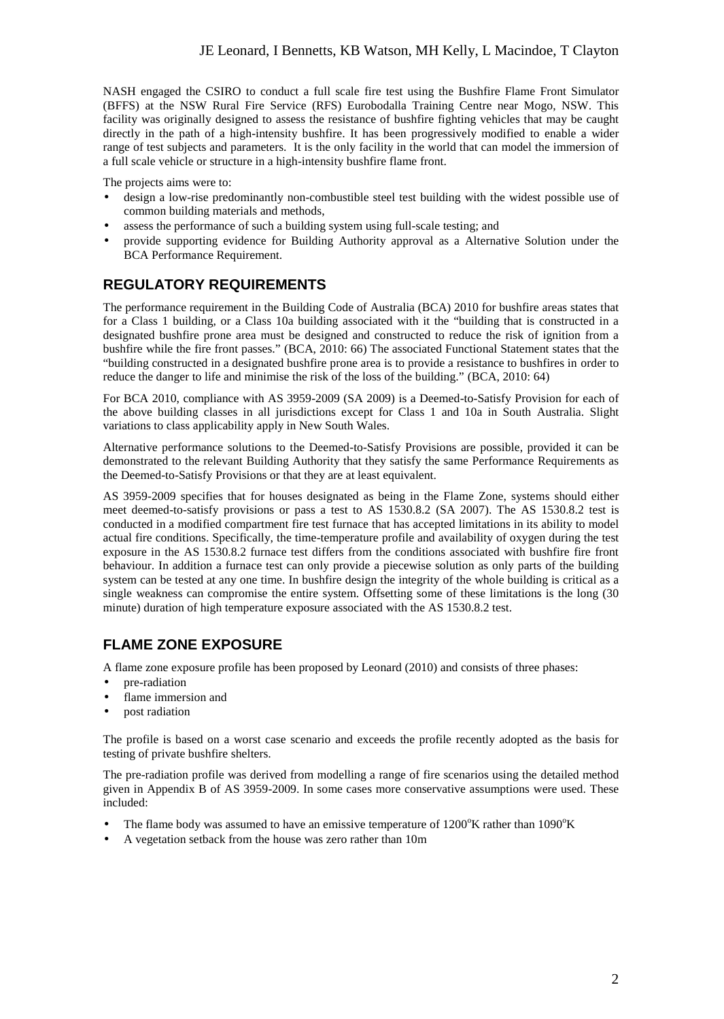NASH engaged the CSIRO to conduct a full scale fire test using the Bushfire Flame Front Simulator (BFFS) at the NSW Rural Fire Service (RFS) Eurobodalla Training Centre near Mogo, NSW. This facility was originally designed to assess the resistance of bushfire fighting vehicles that may be caught directly in the path of a high-intensity bushfire. It has been progressively modified to enable a wider range of test subjects and parameters. It is the only facility in the world that can model the immersion of a full scale vehicle or structure in a high-intensity bushfire flame front.

The projects aims were to:

- design a low-rise predominantly non-combustible steel test building with the widest possible use of common building materials and methods,
- assess the performance of such a building system using full-scale testing; and
- provide supporting evidence for Building Authority approval as a Alternative Solution under the BCA Performance Requirement.

## **REGULATORY REQUIREMENTS**

The performance requirement in the Building Code of Australia (BCA) 2010 for bushfire areas states that for a Class 1 building, or a Class 10a building associated with it the "building that is constructed in a designated bushfire prone area must be designed and constructed to reduce the risk of ignition from a bushfire while the fire front passes." (BCA, 2010: 66) The associated Functional Statement states that the "building constructed in a designated bushfire prone area is to provide a resistance to bushfires in order to reduce the danger to life and minimise the risk of the loss of the building." (BCA, 2010: 64)

For BCA 2010, compliance with AS 3959-2009 (SA 2009) is a Deemed-to-Satisfy Provision for each of the above building classes in all jurisdictions except for Class 1 and 10a in South Australia. Slight variations to class applicability apply in New South Wales.

Alternative performance solutions to the Deemed-to-Satisfy Provisions are possible, provided it can be demonstrated to the relevant Building Authority that they satisfy the same Performance Requirements as the Deemed-to-Satisfy Provisions or that they are at least equivalent.

AS 3959-2009 specifies that for houses designated as being in the Flame Zone, systems should either meet deemed-to-satisfy provisions or pass a test to AS 1530.8.2 (SA 2007). The AS 1530.8.2 test is conducted in a modified compartment fire test furnace that has accepted limitations in its ability to model actual fire conditions. Specifically, the time-temperature profile and availability of oxygen during the test exposure in the AS 1530.8.2 furnace test differs from the conditions associated with bushfire fire front behaviour. In addition a furnace test can only provide a piecewise solution as only parts of the building system can be tested at any one time. In bushfire design the integrity of the whole building is critical as a single weakness can compromise the entire system. Offsetting some of these limitations is the long (30 minute) duration of high temperature exposure associated with the AS 1530.8.2 test.

## **FLAME ZONE EXPOSURE**

A flame zone exposure profile has been proposed by Leonard (2010) and consists of three phases:

- pre-radiation
- flame immersion and
- post radiation

The profile is based on a worst case scenario and exceeds the profile recently adopted as the basis for testing of private bushfire shelters.

The pre-radiation profile was derived from modelling a range of fire scenarios using the detailed method given in Appendix B of AS 3959-2009. In some cases more conservative assumptions were used. These included:

- The flame body was assumed to have an emissive temperature of  $1200^{\circ}$ K rather than  $1090^{\circ}$ K
- A vegetation setback from the house was zero rather than 10m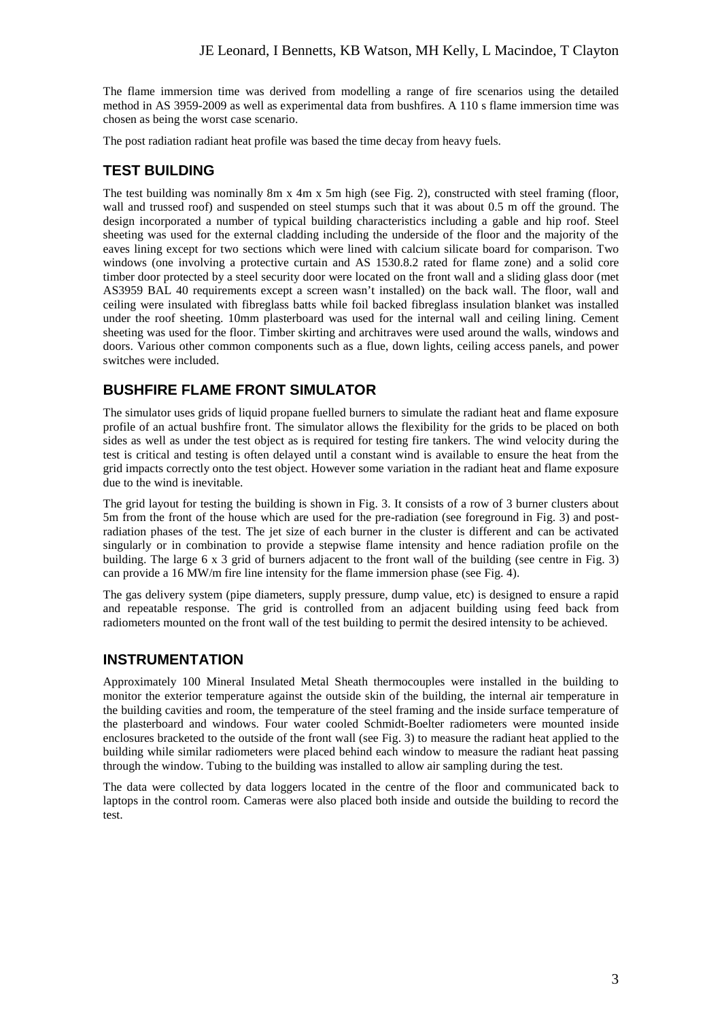The flame immersion time was derived from modelling a range of fire scenarios using the detailed method in AS 3959-2009 as well as experimental data from bushfires. A 110 s flame immersion time was chosen as being the worst case scenario.

The post radiation radiant heat profile was based the time decay from heavy fuels.

# **TEST BUILDING**

The test building was nominally 8m x 4m x 5m high (see Fig. 2), constructed with steel framing (floor, wall and trussed roof) and suspended on steel stumps such that it was about 0.5 m off the ground. The design incorporated a number of typical building characteristics including a gable and hip roof. Steel sheeting was used for the external cladding including the underside of the floor and the majority of the eaves lining except for two sections which were lined with calcium silicate board for comparison. Two windows (one involving a protective curtain and AS 1530.8.2 rated for flame zone) and a solid core timber door protected by a steel security door were located on the front wall and a sliding glass door (met AS3959 BAL 40 requirements except a screen wasn't installed) on the back wall. The floor, wall and ceiling were insulated with fibreglass batts while foil backed fibreglass insulation blanket was installed under the roof sheeting. 10mm plasterboard was used for the internal wall and ceiling lining. Cement sheeting was used for the floor. Timber skirting and architraves were used around the walls, windows and doors. Various other common components such as a flue, down lights, ceiling access panels, and power switches were included.

# **BUSHFIRE FLAME FRONT SIMULATOR**

The simulator uses grids of liquid propane fuelled burners to simulate the radiant heat and flame exposure profile of an actual bushfire front. The simulator allows the flexibility for the grids to be placed on both sides as well as under the test object as is required for testing fire tankers. The wind velocity during the test is critical and testing is often delayed until a constant wind is available to ensure the heat from the grid impacts correctly onto the test object. However some variation in the radiant heat and flame exposure due to the wind is inevitable.

The grid layout for testing the building is shown in Fig. 3. It consists of a row of 3 burner clusters about 5m from the front of the house which are used for the pre-radiation (see foreground in Fig. 3) and postradiation phases of the test. The jet size of each burner in the cluster is different and can be activated singularly or in combination to provide a stepwise flame intensity and hence radiation profile on the building. The large 6 x 3 grid of burners adjacent to the front wall of the building (see centre in Fig. 3) can provide a 16 MW/m fire line intensity for the flame immersion phase (see Fig. 4).

The gas delivery system (pipe diameters, supply pressure, dump value, etc) is designed to ensure a rapid and repeatable response. The grid is controlled from an adjacent building using feed back from radiometers mounted on the front wall of the test building to permit the desired intensity to be achieved.

## **INSTRUMENTATION**

Approximately 100 Mineral Insulated Metal Sheath thermocouples were installed in the building to monitor the exterior temperature against the outside skin of the building, the internal air temperature in the building cavities and room, the temperature of the steel framing and the inside surface temperature of the plasterboard and windows. Four water cooled Schmidt-Boelter radiometers were mounted inside enclosures bracketed to the outside of the front wall (see Fig. 3) to measure the radiant heat applied to the building while similar radiometers were placed behind each window to measure the radiant heat passing through the window. Tubing to the building was installed to allow air sampling during the test.

The data were collected by data loggers located in the centre of the floor and communicated back to laptops in the control room. Cameras were also placed both inside and outside the building to record the test.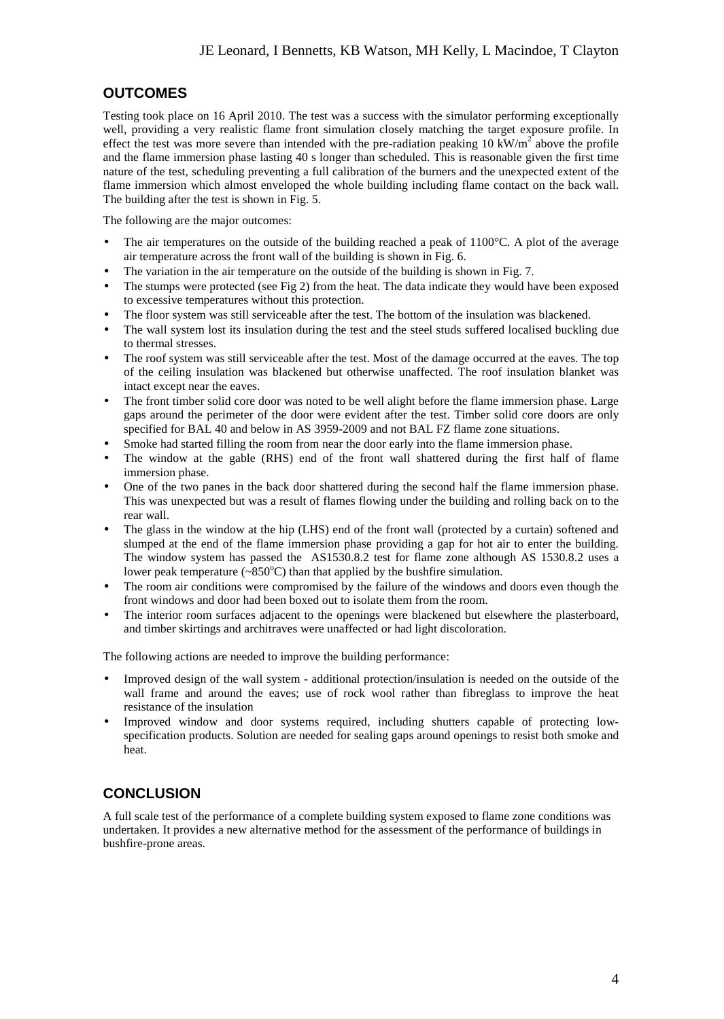# **OUTCOMES**

Testing took place on 16 April 2010. The test was a success with the simulator performing exceptionally well, providing a very realistic flame front simulation closely matching the target exposure profile. In effect the test was more severe than intended with the pre-radiation peaking 10 kW/ $m^2$  above the profile and the flame immersion phase lasting 40 s longer than scheduled. This is reasonable given the first time nature of the test, scheduling preventing a full calibration of the burners and the unexpected extent of the flame immersion which almost enveloped the whole building including flame contact on the back wall. The building after the test is shown in Fig. 5.

The following are the major outcomes:

- The air temperatures on the outside of the building reached a peak of 1100°C. A plot of the average air temperature across the front wall of the building is shown in Fig. 6.
- The variation in the air temperature on the outside of the building is shown in Fig. 7.
- The stumps were protected (see Fig 2) from the heat. The data indicate they would have been exposed to excessive temperatures without this protection.
- The floor system was still serviceable after the test. The bottom of the insulation was blackened.
- The wall system lost its insulation during the test and the steel studs suffered localised buckling due to thermal stresses.
- The roof system was still serviceable after the test. Most of the damage occurred at the eaves. The top of the ceiling insulation was blackened but otherwise unaffected. The roof insulation blanket was intact except near the eaves.
- The front timber solid core door was noted to be well alight before the flame immersion phase. Large gaps around the perimeter of the door were evident after the test. Timber solid core doors are only specified for BAL 40 and below in AS 3959-2009 and not BAL FZ flame zone situations.
- Smoke had started filling the room from near the door early into the flame immersion phase.
- The window at the gable (RHS) end of the front wall shattered during the first half of flame immersion phase.
- One of the two panes in the back door shattered during the second half the flame immersion phase. This was unexpected but was a result of flames flowing under the building and rolling back on to the rear wall.
- The glass in the window at the hip (LHS) end of the front wall (protected by a curtain) softened and slumped at the end of the flame immersion phase providing a gap for hot air to enter the building. The window system has passed the AS1530.8.2 test for flame zone although AS 1530.8.2 uses a lower peak temperature  $({\sim}850^{\circ}C)$  than that applied by the bushfire simulation.
- The room air conditions were compromised by the failure of the windows and doors even though the front windows and door had been boxed out to isolate them from the room.
- The interior room surfaces adjacent to the openings were blackened but elsewhere the plasterboard, and timber skirtings and architraves were unaffected or had light discoloration.

The following actions are needed to improve the building performance:

- Improved design of the wall system additional protection/insulation is needed on the outside of the wall frame and around the eaves; use of rock wool rather than fibreglass to improve the heat resistance of the insulation
- Improved window and door systems required, including shutters capable of protecting lowspecification products. Solution are needed for sealing gaps around openings to resist both smoke and heat.

# **CONCLUSION**

A full scale test of the performance of a complete building system exposed to flame zone conditions was undertaken. It provides a new alternative method for the assessment of the performance of buildings in bushfire-prone areas.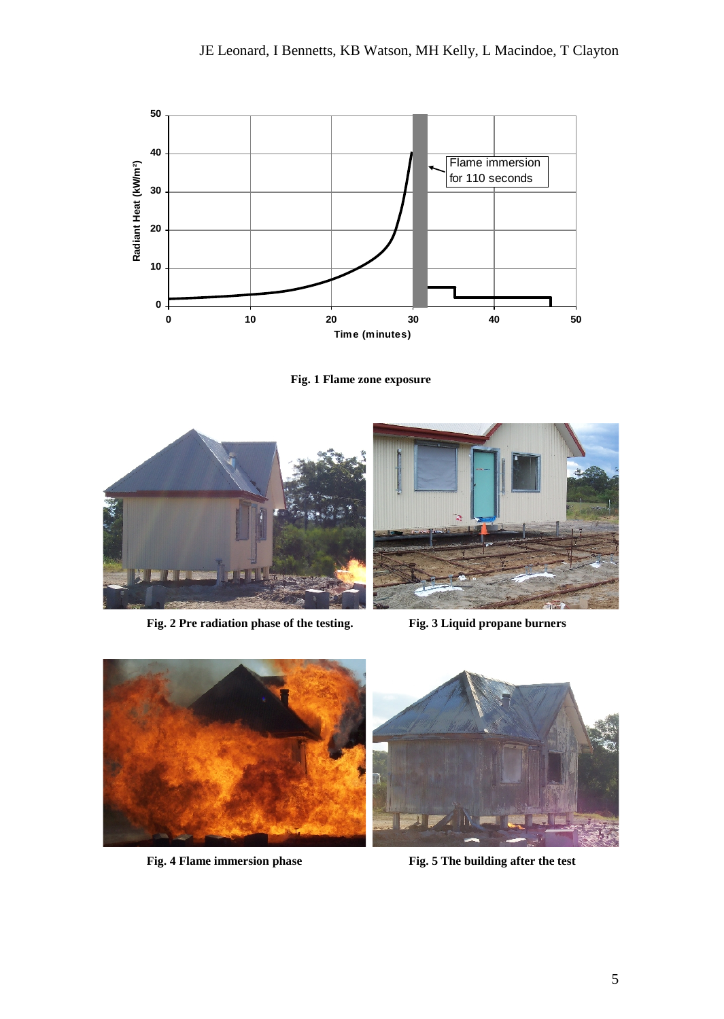

**Fig. 1 Flame zone exposure**



**Fig. 2 Pre radiation phase of the testing. Fig. 3 Liquid propane burners**





**Fig. 4 Flame immersion phase Fig. 5 The building after the test**